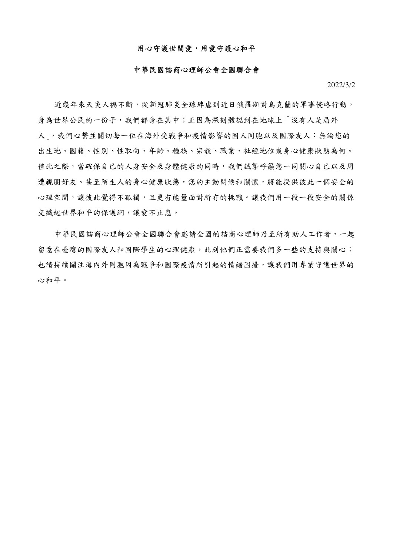## 用心守護世間愛,用愛守護心和平

## 中華民國諮商心理師公會全國聯合會

2022/3/2

近幾年來天災人禍不斷,從新冠肺炎全球肆虐到近日俄羅斯對烏克蘭的軍事侵略行動, 身為世界公民的一份子,我們都身在其中;正因為深刻體認到在地球上「沒有人是局外 人」,我們心繫並關切每一位在海外受戰爭和疫情影響的國人同胞以及國際友人:無論您的 出生地、國籍、性別、性取向、年齡、種族、宗教、職業、社經地位或身心健康狀態為何。 值此之際,當確保自己的人身安全及身體健康的同時,我們誠摯呼籲您一同關心自己以及周 遭親朋好友、甚至陌生人的身心健康狀態,您的主動問候和關懷,將能提供彼此一個安全的 心理空間,讓彼此覺得不孤獨,且更有能量面對所有的挑戰。讓我們用一段一段安全的關係 交織起世界和平的保護網,讓愛不止息。

中華民國諮商心理師公會全國聯合會邀請全國的諮商心理師乃至所有助人工作者,一起 留意在臺灣的國際友人和國際學生的心理健康,此刻他們正需要我們多一些的支持與關心; 也請持續關注海內外同胞因為戰爭和國際疫情所引起的情緒困擾,讓我們用專業守護世界的 心和平。